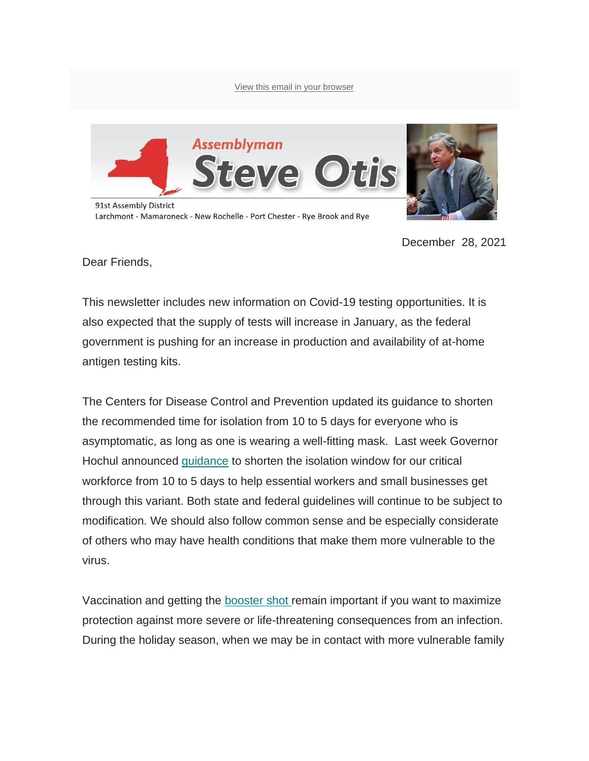[View this email in your browser](https://mailchi.mp/2146359cd9b8/community-update-on-covid-19-from-assemblyman-otis-march-6229105?e=de7eb4cfcb)



December 28, 2021

Dear Friends,

This newsletter includes new information on Covid-19 testing opportunities. It is also expected that the supply of tests will increase in January, as the federal government is pushing for an increase in production and availability of at-home antigen testing kits.

The Centers for Disease Control and Prevention updated its guidance to shorten the recommended time for isolation from 10 to 5 days for everyone who is asymptomatic, as long as one is wearing a well-fitting mask. Last week Governor Hochul announced [guidance](https://state.us19.list-manage.com/track/click?u=0fd2b5d67e9ece19a32d2edb5&id=277c72da73&e=de7eb4cfcb) to shorten the isolation window for our critical workforce from 10 to 5 days to help essential workers and small businesses get through this variant. Both state and federal guidelines will continue to be subject to modification. We should also follow common sense and be especially considerate of others who may have health conditions that make them more vulnerable to the virus.

Vaccination and getting the [booster shot r](https://state.us19.list-manage.com/track/click?u=0fd2b5d67e9ece19a32d2edb5&id=77a96b6011&e=de7eb4cfcb)emain important if you want to maximize protection against more severe or life-threatening consequences from an infection. During the holiday season, when we may be in contact with more vulnerable family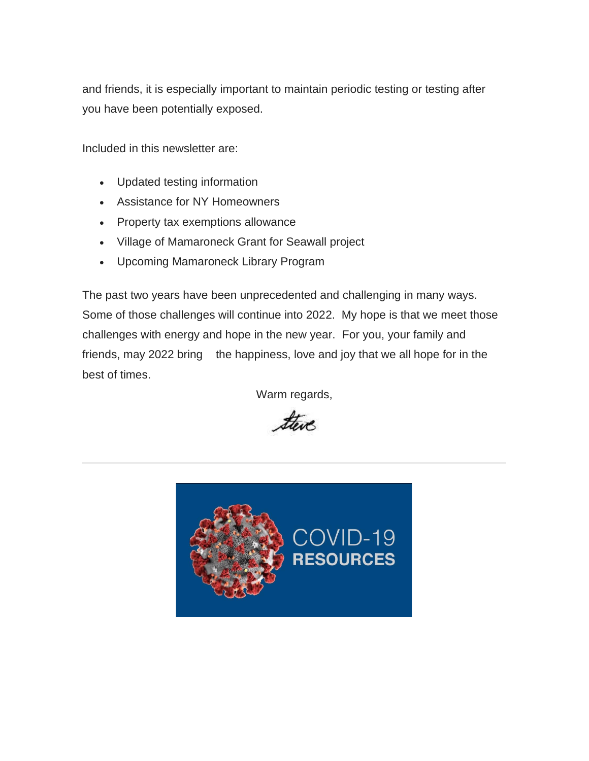and friends, it is especially important to maintain periodic testing or testing after you have been potentially exposed.

Included in this newsletter are:

- Updated testing information
- Assistance for NY Homeowners
- Property tax exemptions allowance
- Village of Mamaroneck Grant for Seawall project
- Upcoming Mamaroneck Library Program

The past two years have been unprecedented and challenging in many ways. Some of those challenges will continue into 2022. My hope is that we meet those challenges with energy and hope in the new year. For you, your family and friends, may 2022 bring the happiness, love and joy that we all hope for in the best of times.

Warm regards,

there

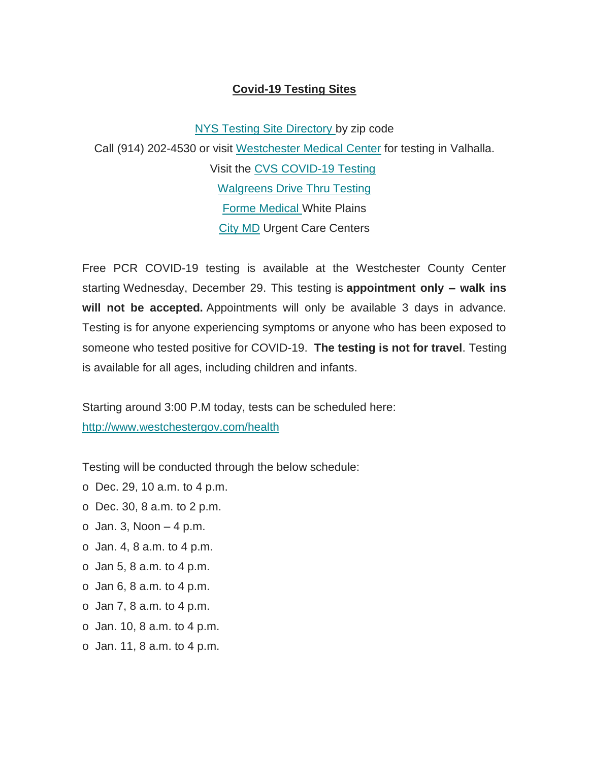#### **Covid-19 Testing Sites**

[NYS Testing Site Directory](https://state.us19.list-manage.com/track/click?u=0fd2b5d67e9ece19a32d2edb5&id=ce118be748&e=de7eb4cfcb) by zip code Call (914) 202-4530 or visit [Westchester Medical Center](https://state.us19.list-manage.com/track/click?u=0fd2b5d67e9ece19a32d2edb5&id=31367516ca&e=de7eb4cfcb) for testing in Valhalla. Visit the [CVS COVID-19 Testing](https://state.us19.list-manage.com/track/click?u=0fd2b5d67e9ece19a32d2edb5&id=9dd9b9f6f1&e=de7eb4cfcb) [Walgreens Drive Thru Testing](https://state.us19.list-manage.com/track/click?u=0fd2b5d67e9ece19a32d2edb5&id=7cfaafe9ae&e=de7eb4cfcb) [Forme Medical W](https://state.us19.list-manage.com/track/click?u=0fd2b5d67e9ece19a32d2edb5&id=d49061044f&e=de7eb4cfcb)hite Plains [City MD](https://state.us19.list-manage.com/track/click?u=0fd2b5d67e9ece19a32d2edb5&id=5ccf74c3a8&e=de7eb4cfcb) Urgent Care Centers

Free PCR COVID-19 testing is available at the Westchester County Center starting Wednesday, December 29. This testing is **appointment only – walk ins will not be accepted.** Appointments will only be available 3 days in advance. Testing is for anyone experiencing symptoms or anyone who has been exposed to someone who tested positive for COVID-19. **The testing is not for travel**. Testing is available for all ages, including children and infants.

Starting around 3:00 P.M today, tests can be scheduled here: [http://www.westchestergov.com/health](https://state.us19.list-manage.com/track/click?u=0fd2b5d67e9ece19a32d2edb5&id=0475f52542&e=de7eb4cfcb)

Testing will be conducted through the below schedule:

- o Dec. 29, 10 a.m. to 4 p.m.
- o Dec. 30, 8 a.m. to 2 p.m.
- o Jan. 3, Noon  $-4$  p.m.
- o Jan. 4, 8 a.m. to 4 p.m.
- o Jan 5, 8 a.m. to 4 p.m.
- o Jan 6, 8 a.m. to 4 p.m.
- o Jan 7, 8 a.m. to 4 p.m.
- o Jan. 10, 8 a.m. to 4 p.m.
- o Jan. 11, 8 a.m. to 4 p.m.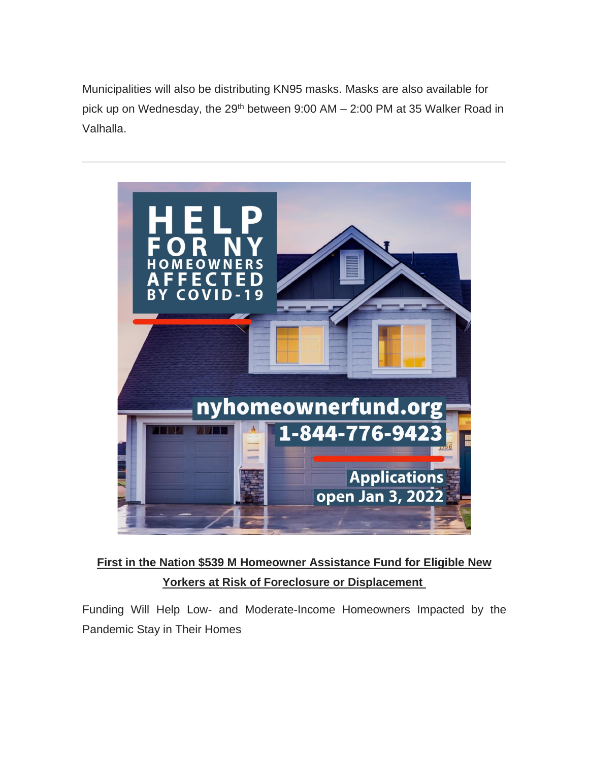Municipalities will also be distributing KN95 masks. Masks are also available for pick up on Wednesday, the 29<sup>th</sup> between 9:00 AM - 2:00 PM at 35 Walker Road in Valhalla.



## **First in the Nation \$539 M Homeowner Assistance Fund for Eligible New Yorkers at Risk of Foreclosure or Displacement**

Funding Will Help Low- and Moderate-Income Homeowners Impacted by the Pandemic Stay in Their Homes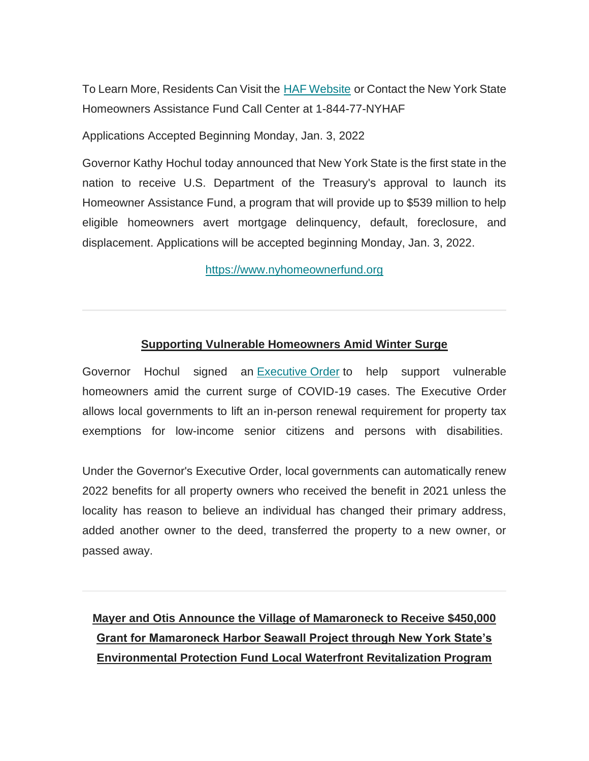To Learn More, Residents Can Visit the **[HAF Website](https://state.us19.list-manage.com/track/click?u=0fd2b5d67e9ece19a32d2edb5&id=9117ad7109&e=de7eb4cfcb) or Contact the New York State** Homeowners Assistance Fund Call Center at 1-844-77-NYHAF

Applications Accepted Beginning Monday, Jan. 3, 2022

Governor Kathy Hochul today announced that New York State is the first state in the nation to receive U.S. Department of the Treasury's approval to launch its Homeowner Assistance Fund, a program that will provide up to \$539 million to help eligible homeowners avert mortgage delinquency, default, foreclosure, and displacement. Applications will be accepted beginning Monday, Jan. 3, 2022.

[https://www.nyhomeownerfund.org](https://state.us19.list-manage.com/track/click?u=0fd2b5d67e9ece19a32d2edb5&id=7271b4f599&e=de7eb4cfcb)

#### **Supporting Vulnerable Homeowners Amid Winter Surge**

Governor Hochul signed an [Executive](https://state.us19.list-manage.com/track/click?u=0fd2b5d67e9ece19a32d2edb5&id=d7275c0e62&e=de7eb4cfcb) Order to help support vulnerable homeowners amid the current surge of COVID-19 cases. The Executive Order allows local governments to lift an in-person renewal requirement for property tax exemptions for low-income senior citizens and persons with disabilities.

Under the Governor's Executive Order, local governments can automatically renew 2022 benefits for all property owners who received the benefit in 2021 unless the locality has reason to believe an individual has changed their primary address, added another owner to the deed, transferred the property to a new owner, or passed away.

## **Mayer and Otis Announce the Village of Mamaroneck to Receive \$450,000 Grant for Mamaroneck Harbor Seawall Project through New York State's Environmental Protection Fund Local Waterfront Revitalization Program**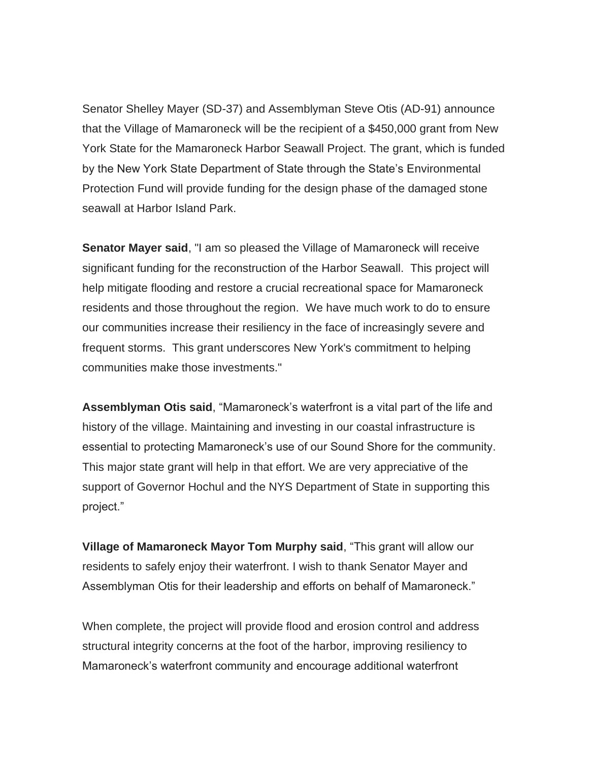Senator Shelley Mayer (SD-37) and Assemblyman Steve Otis (AD-91) announce that the Village of Mamaroneck will be the recipient of a \$450,000 grant from New York State for the Mamaroneck Harbor Seawall Project. The grant, which is funded by the New York State Department of State through the State's Environmental Protection Fund will provide funding for the design phase of the damaged stone seawall at Harbor Island Park.

**Senator Mayer said, "I am so pleased the Village of Mamaroneck will receive** significant funding for the reconstruction of the Harbor Seawall. This project will help mitigate flooding and restore a crucial recreational space for Mamaroneck residents and those throughout the region. We have much work to do to ensure our communities increase their resiliency in the face of increasingly severe and frequent storms. This grant underscores New York's commitment to helping communities make those investments."

**Assemblyman Otis said**, "Mamaroneck's waterfront is a vital part of the life and history of the village. Maintaining and investing in our coastal infrastructure is essential to protecting Mamaroneck's use of our Sound Shore for the community. This major state grant will help in that effort. We are very appreciative of the support of Governor Hochul and the NYS Department of State in supporting this project."

**Village of Mamaroneck Mayor Tom Murphy said**, "This grant will allow our residents to safely enjoy their waterfront. I wish to thank Senator Mayer and Assemblyman Otis for their leadership and efforts on behalf of Mamaroneck."

When complete, the project will provide flood and erosion control and address structural integrity concerns at the foot of the harbor, improving resiliency to Mamaroneck's waterfront community and encourage additional waterfront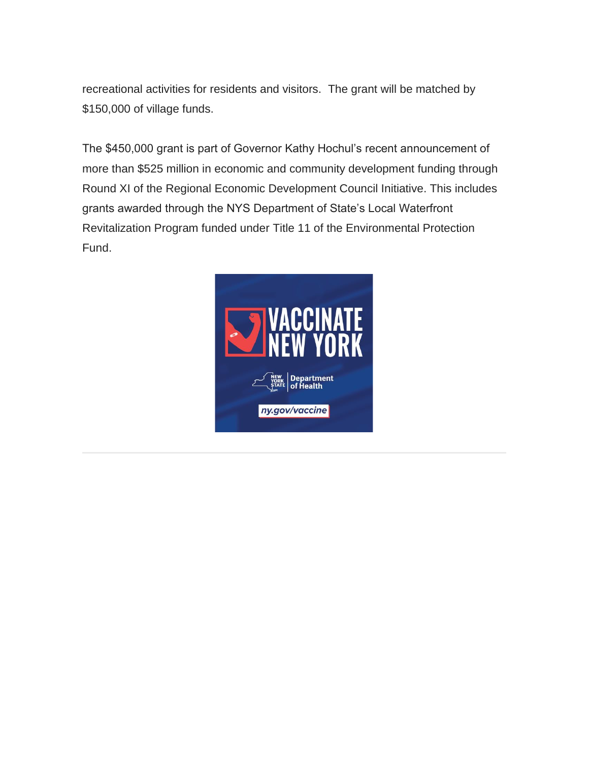recreational activities for residents and visitors. The grant will be matched by \$150,000 of village funds.

The \$450,000 grant is part of Governor Kathy Hochul's recent announcement of more than \$525 million in economic and community development funding through Round XI of the Regional Economic Development Council Initiative. This includes grants awarded through the NYS Department of State's Local Waterfront Revitalization Program funded under Title 11 of the Environmental Protection Fund.

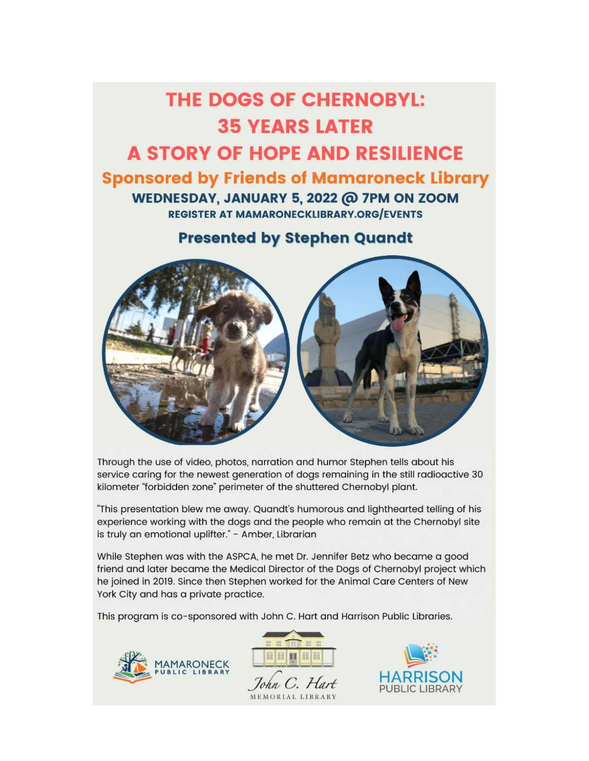# **THE DOGS OF CHERNOBYL: 35 YEARS LATER A STORY OF HOPE AND RESILIENCE Sponsored by Friends of Mamaroneck Library** WEDNESDAY, JANUARY 5, 2022 @ 7PM ON ZOOM **REGISTER AT MAMARONECKLIBRARY.ORG/EVENTS**

### **Presented by Stephen Quandt**



Through the use of video, photos, narration and humor Stephen tells about his service caring for the newest generation of dogs remaining in the still radioactive 30 kilometer "forbidden zone" perimeter of the shuttered Chernobyl plant.

"This presentation blew me away. Quandt's humorous and lighthearted telling of his experience working with the dogs and the people who remain at the Chernobyl site is truly an emotional uplifter." - Amber, Librarian

While Stephen was with the ASPCA, he met Dr. Jennifer Betz who became a good friend and later became the Medical Director of the Dogs of Chernobyl project which he joined in 2019. Since then Stephen worked for the Animal Care Centers of New York City and has a private practice.

This program is co-sponsored with John C. Hart and Harrison Public Libraries.